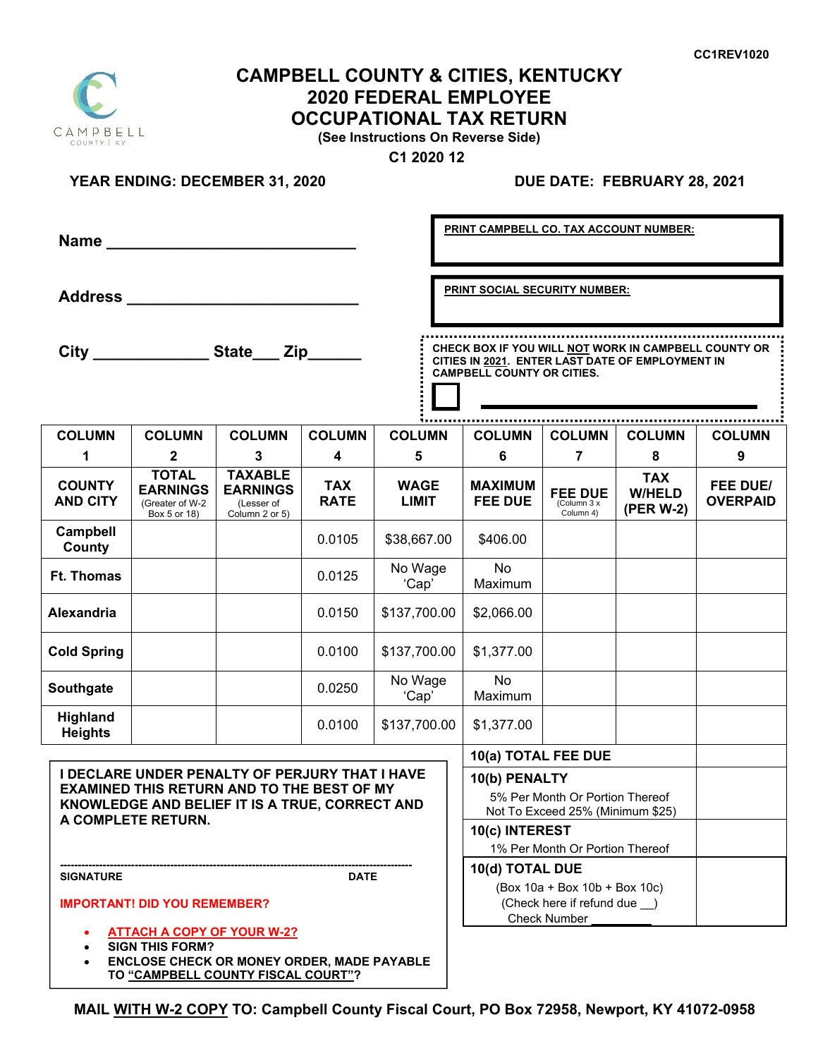# **CAMPBELL COUNTY & CITIES, KENTUCKY 2020 FEDERAL EMPLOYEE OCCUPATIONAL TAX RETURN**

**(See Instructions On Reverse Side)** 

 **C1 2020 12**

## **YEAR ENDING: DECEMBER 31, 2020**

### **DUE DATE: FEBRUARY 28, 2021**

|                                                                                                                                                                                    |                                                                    |                                                                   |                           |                             |                                      | PRINT CAMPBELL CO. TAX ACCOUNT NUMBER:                                                                                                        |                                                    |                                          |                             |  |
|------------------------------------------------------------------------------------------------------------------------------------------------------------------------------------|--------------------------------------------------------------------|-------------------------------------------------------------------|---------------------------|-----------------------------|--------------------------------------|-----------------------------------------------------------------------------------------------------------------------------------------------|----------------------------------------------------|------------------------------------------|-----------------------------|--|
|                                                                                                                                                                                    | Address _________________________                                  |                                                                   |                           |                             | <b>PRINT SOCIAL SECURITY NUMBER:</b> |                                                                                                                                               |                                                    |                                          |                             |  |
|                                                                                                                                                                                    | City ________________State ___ Zip                                 |                                                                   |                           |                             |                                      | CHECK BOX IF YOU WILL NOT WORK IN CAMPBELL COUNTY OR<br>CITIES IN 2021. ENTER LAST DATE OF EMPLOYMENT IN<br><b>CAMPBELL COUNTY OR CITIES.</b> |                                                    |                                          |                             |  |
| <b>COLUMN</b>                                                                                                                                                                      | <b>COLUMN</b>                                                      | <b>COLUMN</b>                                                     | <b>COLUMN</b>             | <b>COLUMN</b>               |                                      | <b>COLUMN</b>                                                                                                                                 | <b>COLUMN</b>                                      | <b>COLUMN</b>                            | <b>COLUMN</b>               |  |
| 1                                                                                                                                                                                  | $\mathbf{2}$                                                       | 3                                                                 | 4                         | 5                           |                                      | 6                                                                                                                                             | 7                                                  | 8                                        | 9                           |  |
| <b>COUNTY</b><br><b>AND CITY</b>                                                                                                                                                   | <b>TOTAL</b><br><b>EARNINGS</b><br>(Greater of W-2<br>Box 5 or 18) | <b>TAXABLE</b><br><b>EARNINGS</b><br>(Lesser of<br>Column 2 or 5) | <b>TAX</b><br><b>RATE</b> | <b>WAGE</b><br><b>LIMIT</b> |                                      | <b>MAXIMUM</b><br><b>FEE DUE</b>                                                                                                              | FEE DUE<br>$\sqrt{\text{Column }3}$ x<br>Column 4) | <b>TAX</b><br><b>W/HELD</b><br>(PER W-2) | FEE DUE/<br><b>OVERPAID</b> |  |
| Campbell<br>County                                                                                                                                                                 |                                                                    |                                                                   | 0.0105                    | \$38,667.00                 |                                      | \$406.00                                                                                                                                      |                                                    |                                          |                             |  |
| <b>Ft. Thomas</b>                                                                                                                                                                  |                                                                    |                                                                   | 0.0125                    | No Wage<br>'Cap'            |                                      | No<br>Maximum                                                                                                                                 |                                                    |                                          |                             |  |
| <b>Alexandria</b>                                                                                                                                                                  |                                                                    |                                                                   | 0.0150                    | \$137,700.00                |                                      | \$2,066.00                                                                                                                                    |                                                    |                                          |                             |  |
| <b>Cold Spring</b>                                                                                                                                                                 |                                                                    |                                                                   | 0.0100                    | \$137,700.00                |                                      | \$1,377.00                                                                                                                                    |                                                    |                                          |                             |  |
| Southgate                                                                                                                                                                          |                                                                    |                                                                   | 0.0250                    | No Wage<br>'Cap'            |                                      | <b>No</b><br>Maximum                                                                                                                          |                                                    |                                          |                             |  |
| <b>Highland</b><br><b>Heights</b>                                                                                                                                                  |                                                                    |                                                                   | 0.0100                    | \$137,700.00                |                                      | \$1,377.00                                                                                                                                    |                                                    |                                          |                             |  |
|                                                                                                                                                                                    |                                                                    |                                                                   |                           |                             |                                      | 10(a) TOTAL FEE DUE                                                                                                                           |                                                    |                                          |                             |  |
| <b>I DECLARE UNDER PENALTY OF PERJURY THAT I HAVE</b><br><b>EXAMINED THIS RETURN AND TO THE BEST OF MY</b><br>KNOWLEDGE AND BELIEF IT IS A TRUE, CORRECT AND<br>A COMPLETE RETURN. |                                                                    |                                                                   |                           |                             |                                      | 10(b) PENALTY<br>5% Per Month Or Portion Thereof<br>Not To Exceed 25% (Minimum \$25)                                                          |                                                    |                                          |                             |  |
|                                                                                                                                                                                    |                                                                    |                                                                   |                           |                             |                                      | 10(c) INTEREST<br>1% Per Month Or Portion Thereof                                                                                             |                                                    |                                          |                             |  |
| <b>SIGNATURE</b><br><b>DATE</b>                                                                                                                                                    |                                                                    |                                                                   |                           |                             |                                      | 10(d) TOTAL DUE                                                                                                                               |                                                    |                                          |                             |  |
| <b>IMPORTANT! DID YOU REMEMBER?</b>                                                                                                                                                |                                                                    |                                                                   |                           |                             |                                      | (Box 10a + Box 10b + Box 10c)<br>(Check here if refund due )<br><b>Check Number</b>                                                           |                                                    |                                          |                             |  |
| <b>ATTACH A COPY OF YOUR W-2?</b>                                                                                                                                                  |                                                                    |                                                                   |                           |                             |                                      |                                                                                                                                               |                                                    |                                          |                             |  |

- **SIGN THIS FORM?**
- **ENCLOSE CHECK OR MONEY ORDER, MADE PAYABLE TO "CAMPBELL COUNTY FISCAL COURT"?**

**MAIL WITH W-2 COPY TO: Campbell County Fiscal Court, PO Box 72958, Newport, KY 41072-0958**